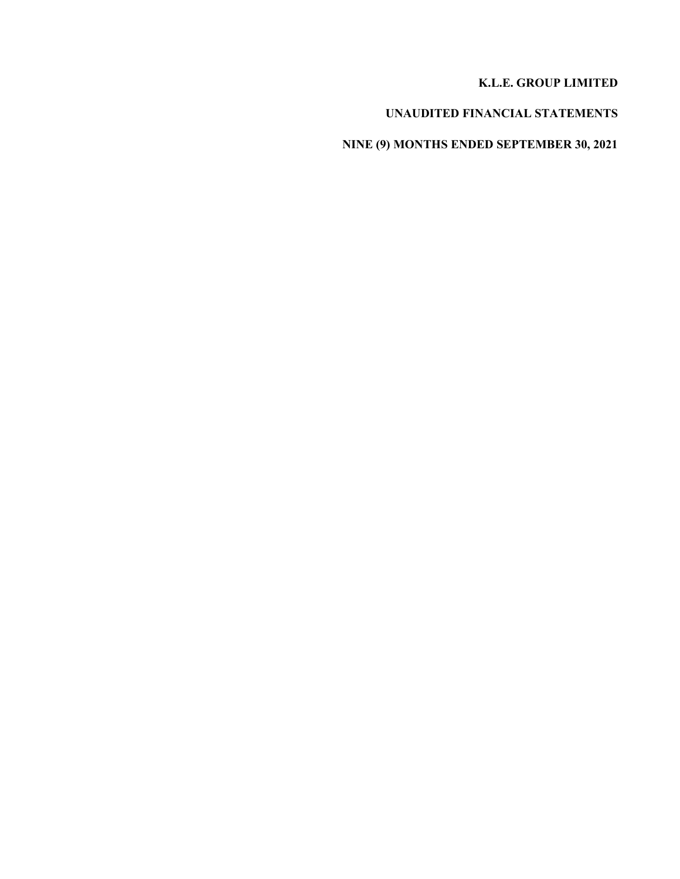### **K.L.E. GROUP LIMITED**

# **UNAUDITED FINANCIAL STATEMENTS**

# **NINE (9) MONTHS ENDED SEPTEMBER 30, 2021**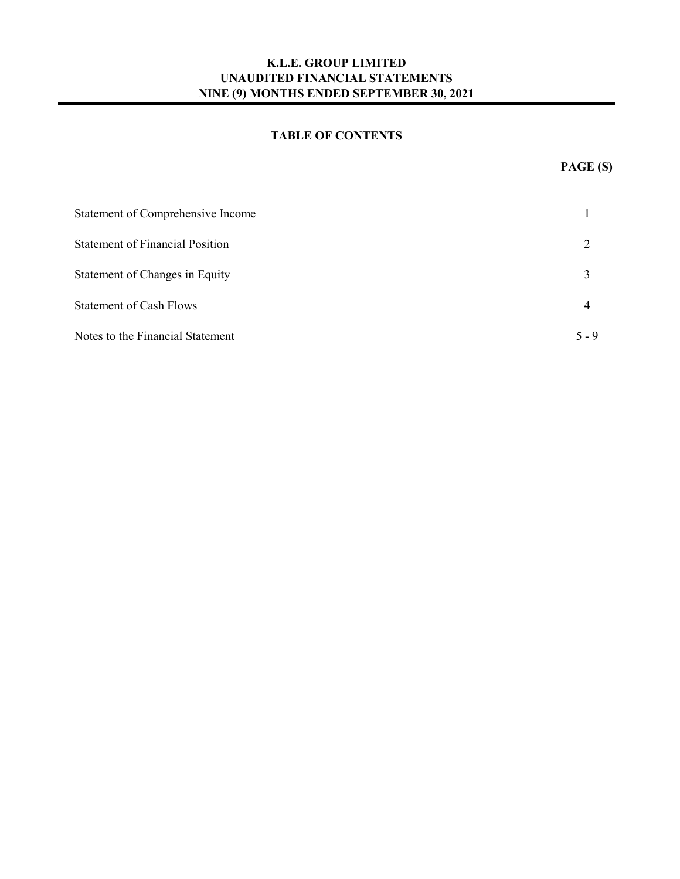### **TABLE OF CONTENTS**

-

| Statement of Comprehensive Income      |         |
|----------------------------------------|---------|
| <b>Statement of Financial Position</b> |         |
| Statement of Changes in Equity         |         |
| <b>Statement of Cash Flows</b>         | 4       |
| Notes to the Financial Statement       | $5 - 9$ |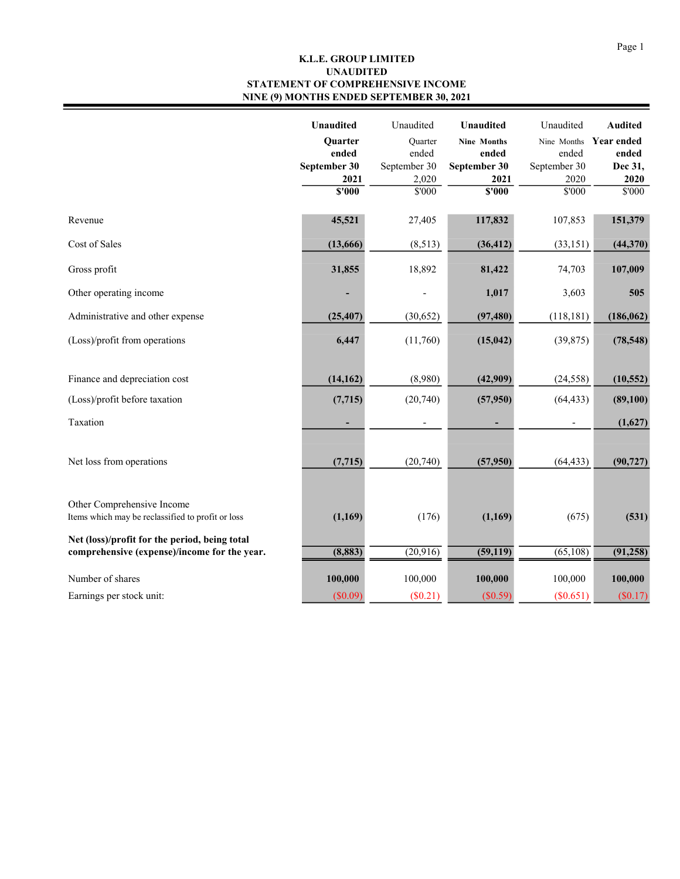#### **K.L.E. GROUP LIMITED STATEMENT OF COMPREHENSIVE INCOME NINE (9) MONTHS ENDED SEPTEMBER 30, 2021 UNAUDITED**

|                                                                                               | <b>Unaudited</b> | Unaudited      | Unaudited          | Unaudited    | <b>Audited</b> |
|-----------------------------------------------------------------------------------------------|------------------|----------------|--------------------|--------------|----------------|
|                                                                                               | Quarter          | <b>Ouarter</b> | <b>Nine Months</b> | Nine Months  | Year ended     |
|                                                                                               | ended            | ended          | ended              | ended        | ended          |
|                                                                                               | September 30     | September 30   | September 30       | September 30 | Dec 31,        |
|                                                                                               | 2021             | 2,020          | 2021               | 2020         | 2020           |
|                                                                                               | S'000            | \$'000         | \$'000             | \$'000       | \$'000         |
| Revenue                                                                                       | 45,521           | 27,405         | 117,832            | 107,853      | 151,379        |
| Cost of Sales                                                                                 | (13,666)         | (8,513)        | (36, 412)          | (33, 151)    | (44, 370)      |
| Gross profit                                                                                  | 31,855           | 18,892         | 81,422             | 74,703       | 107,009        |
| Other operating income                                                                        |                  |                | 1,017              | 3,603        | 505            |
| Administrative and other expense                                                              | (25, 407)        | (30,652)       | (97, 480)          | (118, 181)   | (186, 062)     |
| (Loss)/profit from operations                                                                 | 6,447            | (11,760)       | (15, 042)          | (39, 875)    | (78, 548)      |
| Finance and depreciation cost                                                                 | (14, 162)        | (8,980)        | (42,909)           | (24, 558)    | (10, 552)      |
| (Loss)/profit before taxation                                                                 | (7, 715)         | (20,740)       | (57,950)           | (64, 433)    | (89, 100)      |
| Taxation                                                                                      |                  |                |                    |              | (1,627)        |
| Net loss from operations                                                                      | (7, 715)         | (20, 740)      | (57,950)           | (64, 433)    | (90, 727)      |
| Other Comprehensive Income<br>Items which may be reclassified to profit or loss               | (1,169)          | (176)          | (1,169)            | (675)        | (531)          |
| Net (loss)/profit for the period, being total<br>comprehensive (expense)/income for the year. | (8, 883)         | (20,916)       | (59, 119)          | (65,108)     | (91, 258)      |
| Number of shares                                                                              | 100,000          | 100,000        | 100,000            | 100,000      | 100,000        |
| Earnings per stock unit:                                                                      | (\$0.09)         | $(\$0.21)$     | (\$0.59)           | (\$0.651)    | (\$0.17)       |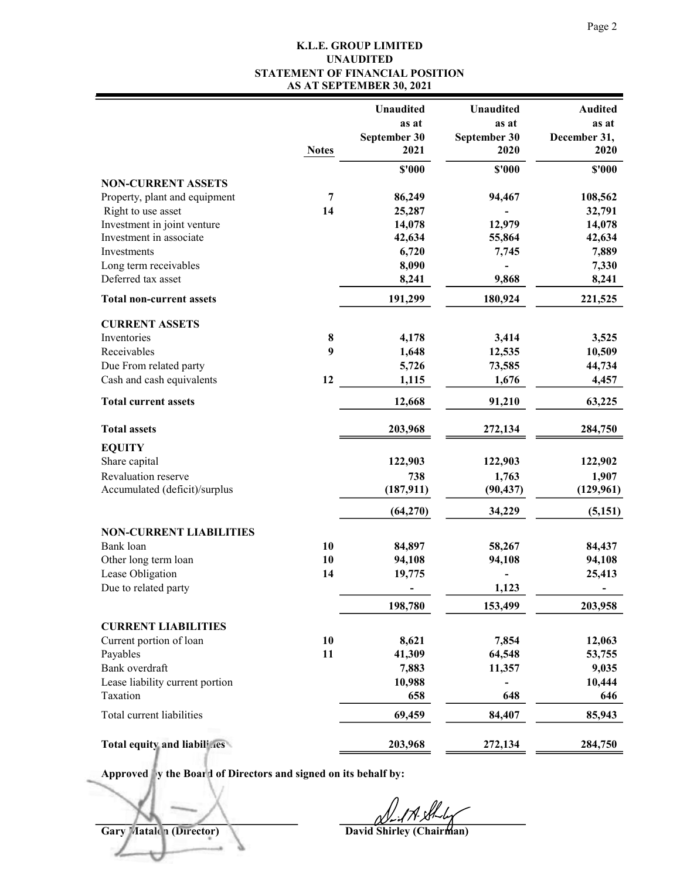### **K.L.E. GROUP LIMITED STATEMENT OF FINANCIAL POSITION AS AT SEPTEMBER 30, 2021 UNAUDITED**

|                                                     |              | <b>Unaudited</b> | Unaudited    | <b>Audited</b> |
|-----------------------------------------------------|--------------|------------------|--------------|----------------|
|                                                     |              | as at            | as at        | as at          |
|                                                     |              | September 30     | September 30 | December 31,   |
|                                                     | <b>Notes</b> | 2021             | 2020         | 2020           |
|                                                     |              | $$^{\prime}000$  | \$'000       | \$'000         |
| <b>NON-CURRENT ASSETS</b>                           | 7            | 86,249           |              | 108,562        |
| Property, plant and equipment<br>Right to use asset | 14           | 25,287           | 94,467       | 32,791         |
| Investment in joint venture                         |              | 14,078           | 12,979       | 14,078         |
| Investment in associate                             |              | 42,634           | 55,864       | 42,634         |
| Investments                                         |              | 6,720            | 7,745        | 7,889          |
| Long term receivables                               |              | 8,090            |              | 7,330          |
| Deferred tax asset                                  |              | 8,241            | 9,868        | 8,241          |
| <b>Total non-current assets</b>                     |              | 191,299          | 180,924      | 221,525        |
|                                                     |              |                  |              |                |
| <b>CURRENT ASSETS</b><br>Inventories                | 8            | 4,178            | 3,414        | 3,525          |
| Receivables                                         | 9            | 1,648            | 12,535       | 10,509         |
| Due From related party                              |              | 5,726            | 73,585       | 44,734         |
| Cash and cash equivalents                           | 12           | 1,115            | 1,676        | 4,457          |
| <b>Total current assets</b>                         |              | 12,668           | 91,210       | 63,225         |
| <b>Total assets</b>                                 |              | 203,968          | 272,134      | 284,750        |
| <b>EQUITY</b>                                       |              |                  |              |                |
| Share capital                                       |              | 122,903          | 122,903      | 122,902        |
| Revaluation reserve                                 |              | 738              | 1,763        | 1,907          |
| Accumulated (deficit)/surplus                       |              | (187, 911)       | (90, 437)    | (129,961)      |
|                                                     |              | (64,270)         | 34,229       | (5,151)        |
| <b>NON-CURRENT LIABILITIES</b>                      |              |                  |              |                |
| Bank loan                                           | 10           | 84,897           | 58,267       | 84,437         |
| Other long term loan                                | 10           | 94,108           | 94,108       | 94,108         |
| Lease Obligation                                    | 14           | 19,775           |              | 25,413         |
| Due to related party                                |              |                  | 1,123        |                |
|                                                     |              | 198,780          | 153,499      | 203,958        |
| <b>CURRENT LIABILITIES</b>                          |              |                  |              |                |
| Current portion of loan                             | 10           | 8,621            | 7,854        | 12,063         |
| Payables                                            | 11           | 41,309           | 64,548       | 53,755         |
| Bank overdraft                                      |              | 7,883            | 11,357       | 9,035          |
| Lease liability current portion                     |              | 10,988           |              | 10,444         |
| Taxation                                            |              | 658              | 648          | 646            |
| Total current liabilities                           |              | 69,459           | 84,407       | 85,943         |
| Total equity and liabilines                         |              | 203,968          | 272,134      | 284,750        |

**Approved by the Board of Directors and signed on its behalf by:**

**Gary Matalon (Director) David Shirley (Chairman)**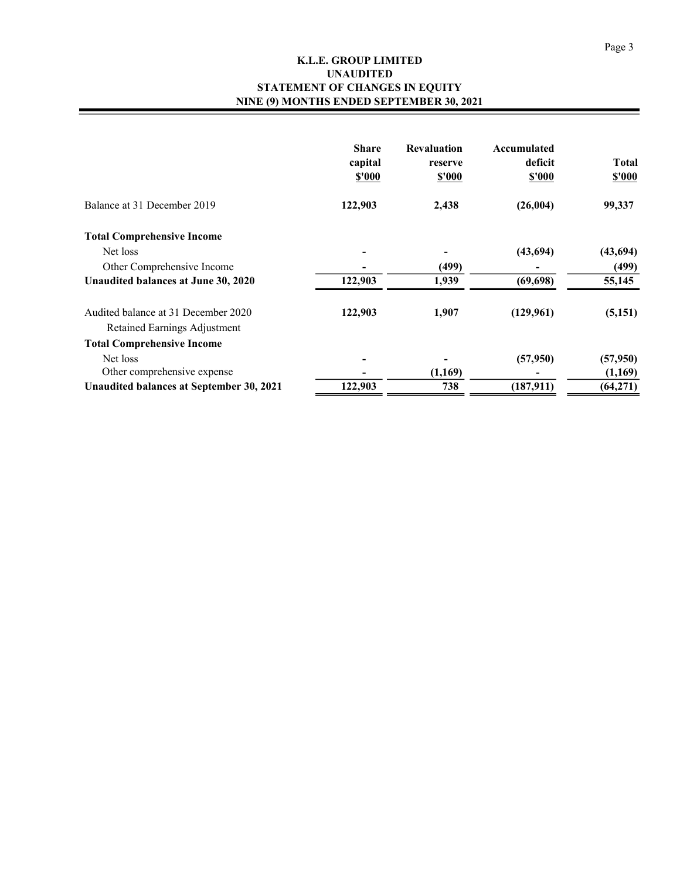#### **K.L.E. GROUP LIMITED STATEMENT OF CHANGES IN EQUITY NINE (9) MONTHS ENDED SEPTEMBER 30, 2021 UNAUDITED**

|                                                                     | <b>Share</b><br>capital<br>\$'000 | <b>Revaluation</b><br>reserve<br>\$'000 | Accumulated<br>deficit<br>\$'000 | <b>Total</b><br>\$'000 |
|---------------------------------------------------------------------|-----------------------------------|-----------------------------------------|----------------------------------|------------------------|
| Balance at 31 December 2019                                         | 122,903                           | 2,438                                   | (26,004)                         | 99,337                 |
| <b>Total Comprehensive Income</b>                                   |                                   |                                         |                                  |                        |
| Net loss                                                            |                                   |                                         | (43,694)                         | (43,694)               |
| Other Comprehensive Income                                          |                                   | (499)                                   |                                  | (499)                  |
| Unaudited balances at June 30, 2020                                 | 122,903                           | 1,939                                   | (69, 698)                        | 55,145                 |
| Audited balance at 31 December 2020<br>Retained Earnings Adjustment | 122,903                           | 1,907                                   | (129,961)                        | (5,151)                |
| <b>Total Comprehensive Income</b>                                   |                                   |                                         |                                  |                        |
| Net loss                                                            |                                   |                                         | (57,950)                         | (57,950)               |
| Other comprehensive expense                                         |                                   | (1,169)                                 |                                  | (1,169)                |
| Unaudited balances at September 30, 2021                            | 122,903                           | 738                                     | (187, 911)                       | (64, 271)              |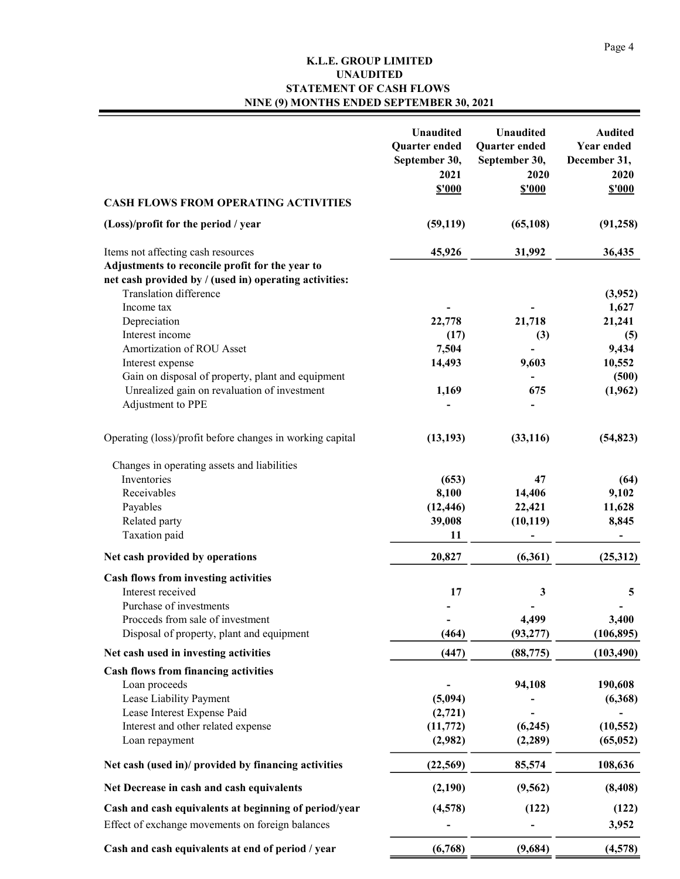### **K.L.E. GROUP LIMITED STATEMENT OF CASH FLOWS NINE (9) MONTHS ENDED SEPTEMBER 30, 2021 UNAUDITED**

|                                                                                                                                                 | Unaudited<br>Quarter ended<br>September 30,<br>2021<br><b>\$'000</b> | <b>Unaudited</b><br>Quarter ended<br>September 30,<br>2020<br><b>\$'000</b> | <b>Audited</b><br><b>Year ended</b><br>December 31,<br>2020<br>\$'000 |
|-------------------------------------------------------------------------------------------------------------------------------------------------|----------------------------------------------------------------------|-----------------------------------------------------------------------------|-----------------------------------------------------------------------|
| <b>CASH FLOWS FROM OPERATING ACTIVITIES</b>                                                                                                     |                                                                      |                                                                             |                                                                       |
| (Loss)/profit for the period / year                                                                                                             | (59, 119)                                                            | (65, 108)                                                                   | (91, 258)                                                             |
| Items not affecting cash resources<br>Adjustments to reconcile profit for the year to<br>net cash provided by / (used in) operating activities: | 45,926                                                               | 31,992                                                                      | 36,435                                                                |
| Translation difference                                                                                                                          |                                                                      |                                                                             | (3,952)                                                               |
| Income tax                                                                                                                                      |                                                                      |                                                                             | 1,627                                                                 |
| Depreciation<br>Interest income                                                                                                                 | 22,778                                                               | 21,718                                                                      | 21,241                                                                |
| Amortization of ROU Asset                                                                                                                       | (17)<br>7,504                                                        | (3)                                                                         | (5)<br>9,434                                                          |
| Interest expense                                                                                                                                | 14,493                                                               | 9,603                                                                       | 10,552                                                                |
| Gain on disposal of property, plant and equipment                                                                                               |                                                                      |                                                                             | (500)                                                                 |
| Unrealized gain on revaluation of investment                                                                                                    | 1,169                                                                | 675                                                                         | (1,962)                                                               |
| Adjustment to PPE                                                                                                                               |                                                                      |                                                                             |                                                                       |
| Operating (loss)/profit before changes in working capital                                                                                       | (13, 193)                                                            | (33, 116)                                                                   | (54, 823)                                                             |
| Changes in operating assets and liabilities                                                                                                     |                                                                      |                                                                             |                                                                       |
| Inventories                                                                                                                                     | (653)                                                                | 47                                                                          | (64)                                                                  |
| Receivables                                                                                                                                     | 8,100                                                                | 14,406                                                                      | 9,102                                                                 |
| Payables                                                                                                                                        | (12, 446)                                                            | 22,421                                                                      | 11,628                                                                |
| Related party                                                                                                                                   | 39,008                                                               | (10, 119)                                                                   | 8,845                                                                 |
| Taxation paid                                                                                                                                   | 11                                                                   |                                                                             |                                                                       |
| Net cash provided by operations                                                                                                                 | 20,827                                                               | (6,361)                                                                     | (25,312)                                                              |
| Cash flows from investing activities                                                                                                            |                                                                      |                                                                             |                                                                       |
| Interest received                                                                                                                               | 17                                                                   | 3                                                                           | 5                                                                     |
| Purchase of investments                                                                                                                         |                                                                      |                                                                             |                                                                       |
| Proceeds from sale of investment<br>Disposal of property, plant and equipment                                                                   | (464)                                                                | 4,499<br>(93, 277)                                                          | 3,400                                                                 |
|                                                                                                                                                 |                                                                      |                                                                             | (106, 895)                                                            |
| Net cash used in investing activities                                                                                                           | (447)                                                                | (88, 775)                                                                   | (103, 490)                                                            |
| <b>Cash flows from financing activities</b>                                                                                                     |                                                                      |                                                                             |                                                                       |
| Loan proceeds                                                                                                                                   |                                                                      | 94,108                                                                      | 190,608                                                               |
| Lease Liability Payment<br>Lease Interest Expense Paid                                                                                          | (5,094)<br>(2, 721)                                                  |                                                                             | (6,368)                                                               |
| Interest and other related expense                                                                                                              | (11, 772)                                                            | (6,245)                                                                     | (10, 552)                                                             |
| Loan repayment                                                                                                                                  | (2,982)                                                              | (2, 289)                                                                    | (65, 052)                                                             |
|                                                                                                                                                 |                                                                      |                                                                             |                                                                       |
| Net cash (used in)/ provided by financing activities                                                                                            | (22, 569)                                                            | 85,574                                                                      | 108,636                                                               |
| Net Decrease in cash and cash equivalents                                                                                                       | (2,190)                                                              | (9, 562)                                                                    | (8, 408)                                                              |
| Cash and cash equivalents at beginning of period/year                                                                                           | (4,578)                                                              | (122)                                                                       | (122)                                                                 |
| Effect of exchange movements on foreign balances                                                                                                |                                                                      |                                                                             | 3,952                                                                 |
| Cash and cash equivalents at end of period / year                                                                                               | (6,768)                                                              | (9,684)                                                                     | (4,578)                                                               |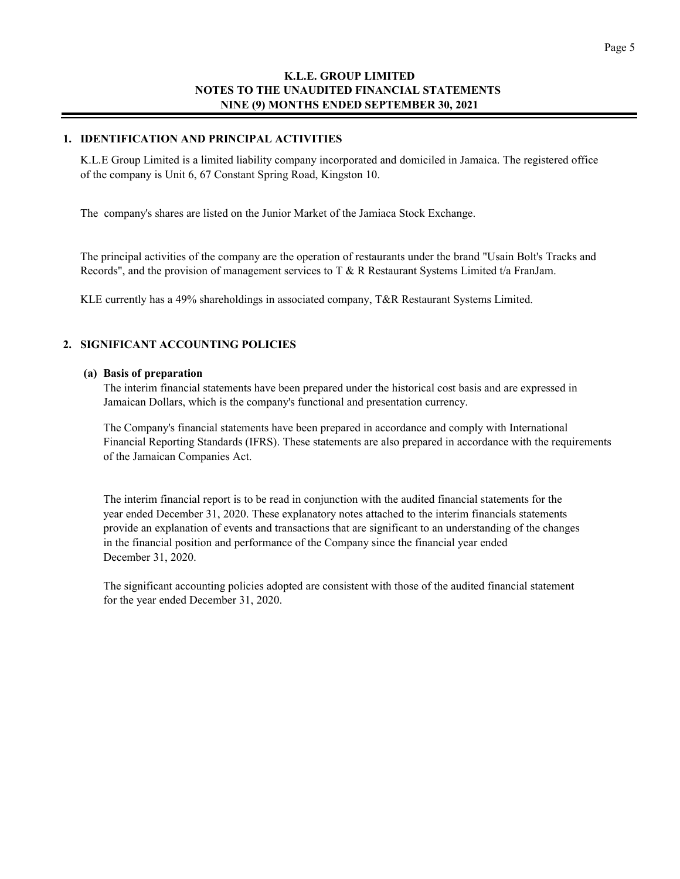#### **1. IDENTIFICATION AND PRINCIPAL ACTIVITIES**

K.L.E Group Limited is a limited liability company incorporated and domiciled in Jamaica. The registered office of the company is Unit 6, 67 Constant Spring Road, Kingston 10.

The company's shares are listed on the Junior Market of the Jamiaca Stock Exchange.

The principal activities of the company are the operation of restaurants under the brand "Usain Bolt's Tracks and Records", and the provision of management services to T & R Restaurant Systems Limited t/a FranJam.

KLE currently has a 49% shareholdings in associated company, T&R Restaurant Systems Limited.

#### **2. SIGNIFICANT ACCOUNTING POLICIES**

#### **(a) Basis of preparation**

The interim financial statements have been prepared under the historical cost basis and are expressed in Jamaican Dollars, which is the company's functional and presentation currency.

The Company's financial statements have been prepared in accordance and comply with International Financial Reporting Standards (IFRS). These statements are also prepared in accordance with the requirements of the Jamaican Companies Act.

The interim financial report is to be read in conjunction with the audited financial statements for the year ended December 31, 2020. These explanatory notes attached to the interim financials statements provide an explanation of events and transactions that are significant to an understanding of the changes in the financial position and performance of the Company since the financial year ended December 31, 2020.

The significant accounting policies adopted are consistent with those of the audited financial statement for the year ended December 31, 2020.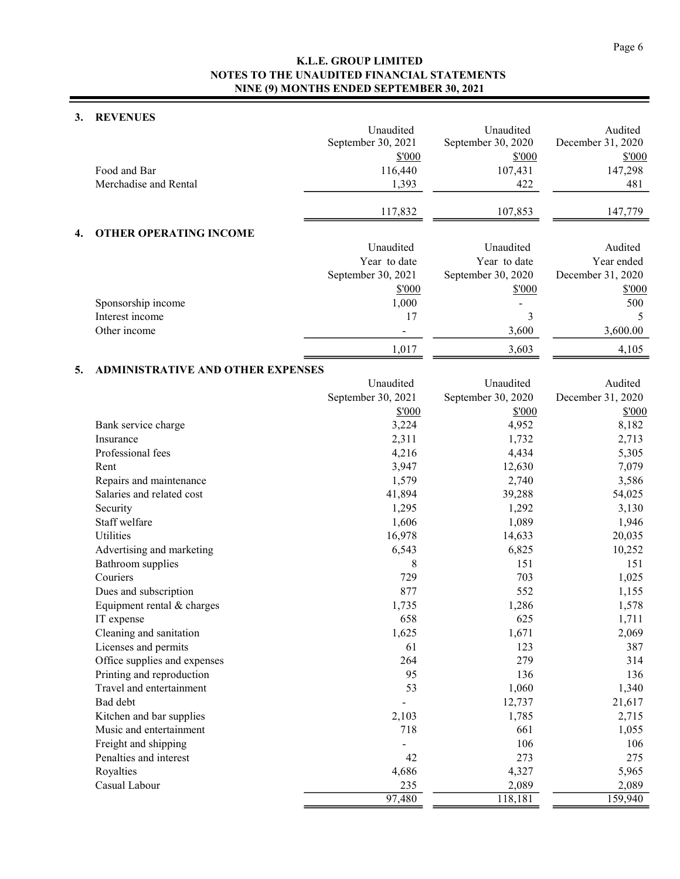### **3. REVENUES**

|    |                                          | Unaudited          | Unaudited          | Audited           |
|----|------------------------------------------|--------------------|--------------------|-------------------|
|    |                                          | September 30, 2021 | September 30, 2020 | December 31, 2020 |
|    |                                          | \$'000             | \$'000             | \$'000            |
|    | Food and Bar                             | 116,440            | 107,431            | 147,298           |
|    | Merchadise and Rental                    | 1,393              | 422                | 481               |
|    |                                          | 117,832            | 107,853            | 147,779           |
| 4. | <b>OTHER OPERATING INCOME</b>            |                    |                    |                   |
|    |                                          | Unaudited          | Unaudited          | Audited           |
|    |                                          | Year to date       | Year to date       | Year ended        |
|    |                                          | September 30, 2021 | September 30, 2020 | December 31, 2020 |
|    |                                          | \$'000             | \$'000             | \$'000            |
|    | Sponsorship income<br>Interest income    | 1,000              |                    | 500               |
|    | Other income                             | 17                 | 3<br>3,600         | 5<br>3,600.00     |
|    |                                          | ÷                  |                    |                   |
|    |                                          | 1,017              | 3,603              | 4,105             |
| 5. | <b>ADMINISTRATIVE AND OTHER EXPENSES</b> | Unaudited          | Unaudited          | Audited           |
|    |                                          | September 30, 2021 | September 30, 2020 | December 31, 2020 |
|    |                                          | \$'000             | \$'000             | \$'000            |
|    | Bank service charge                      | 3,224              | 4,952              | 8,182             |
|    | Insurance                                | 2,311              | 1,732              | 2,713             |
|    | Professional fees                        | 4,216              | 4,434              | 5,305             |
|    | Rent                                     | 3,947              | 12,630             | 7,079             |
|    | Repairs and maintenance                  | 1,579              | 2,740              | 3,586             |
|    | Salaries and related cost                | 41,894             | 39,288             | 54,025            |
|    | Security                                 | 1,295              | 1,292              | 3,130             |
|    | Staff welfare                            | 1,606              | 1,089              | 1,946             |
|    | Utilities                                | 16,978             | 14,633             | 20,035            |
|    | Advertising and marketing                | 6,543              | 6,825              | 10,252            |
|    | Bathroom supplies                        | 8                  | 151                | 151               |
|    | Couriers                                 | 729                | 703                | 1,025             |
|    | Dues and subscription                    | 877                | 552                | 1,155             |
|    | Equipment rental & charges               | 1,735              | 1,286              | 1,578             |
|    | IT expense                               | 658                | 625                | 1,711             |
|    | Cleaning and sanitation                  | 1,625              | 1,671              | 2,069             |
|    | Licenses and permits                     | 61                 | 123                | 387               |
|    | Office supplies and expenses             | 264                | 279                | 314               |
|    | Printing and reproduction                | 95                 | 136                | 136               |
|    | Travel and entertainment                 | 53                 | 1,060              | 1,340             |
|    | Bad debt                                 |                    | 12,737             | 21,617            |
|    | Kitchen and bar supplies                 | 2,103              | 1,785              | 2,715             |
|    | Music and entertainment                  | 718                | 661                | 1,055             |
|    | Freight and shipping                     |                    | 106                | 106               |
|    | Penalties and interest                   | 42                 | 273                | 275               |
|    | Royalties                                | 4,686              | 4,327              | 5,965             |
|    | Casual Labour                            | 235                | 2,089              | 2,089             |
|    |                                          | 97,480             | 118,181            | 159,940           |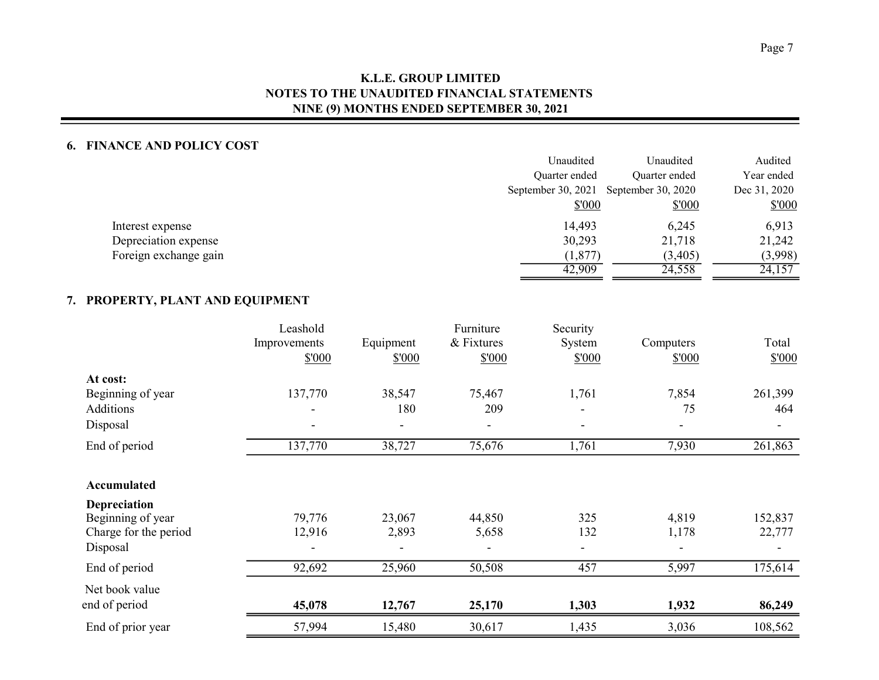### **6. FINANCE AND POLICY COST**

|                       | Unaudited          | Unaudited          | Audited      |
|-----------------------|--------------------|--------------------|--------------|
|                       | Quarter ended      | Quarter ended      | Year ended   |
|                       | September 30, 2021 | September 30, 2020 | Dec 31, 2020 |
|                       | \$'000             | \$'000             | \$000        |
| Interest expense      | 14,493             | 6,245              | 6,913        |
| Depreciation expense  | 30,293             | 21,718             | 21,242       |
| Foreign exchange gain | (1, 877)           | (3,405)            | (3,998)      |
|                       | 42,909             | 24,558             | 24,157       |
|                       |                    |                    |              |

## **7. PROPERTY, PLANT AND EQUIPMENT**

|                       | Leashold<br>Improvements<br>\$'000 | Equipment<br>\$'000      | Furniture<br>& Fixtures<br>\$'000 | Security<br>System<br>\$'000 | Computers<br>\$'000 | Total<br>\$'000 |
|-----------------------|------------------------------------|--------------------------|-----------------------------------|------------------------------|---------------------|-----------------|
| At cost:              |                                    |                          |                                   |                              |                     |                 |
| Beginning of year     | 137,770                            | 38,547                   | 75,467                            | 1,761                        | 7,854               | 261,399         |
| Additions             |                                    | 180                      | 209                               |                              | 75                  | 464             |
| Disposal              |                                    | $\overline{\phantom{0}}$ | $\blacksquare$                    | $\blacksquare$               | $\blacksquare$      | $\blacksquare$  |
| End of period         | 137,770                            | 38,727                   | 75,676                            | 1,761                        | 7,930               | 261,863         |
| <b>Accumulated</b>    |                                    |                          |                                   |                              |                     |                 |
| Depreciation          |                                    |                          |                                   |                              |                     |                 |
| Beginning of year     | 79,776                             | 23,067                   | 44,850                            | 325                          | 4,819               | 152,837         |
| Charge for the period | 12,916                             | 2,893                    | 5,658                             | 132                          | 1,178               | 22,777          |
| Disposal              |                                    |                          |                                   | $\overline{\phantom{a}}$     |                     |                 |
| End of period         | 92,692                             | 25,960                   | 50,508                            | 457                          | 5,997               | 175,614         |
| Net book value        |                                    |                          |                                   |                              |                     |                 |
| end of period         | 45,078                             | 12,767                   | 25,170                            | 1,303                        | 1,932               | 86,249          |
| End of prior year     | 57,994                             | 15,480                   | 30,617                            | 1,435                        | 3,036               | 108,562         |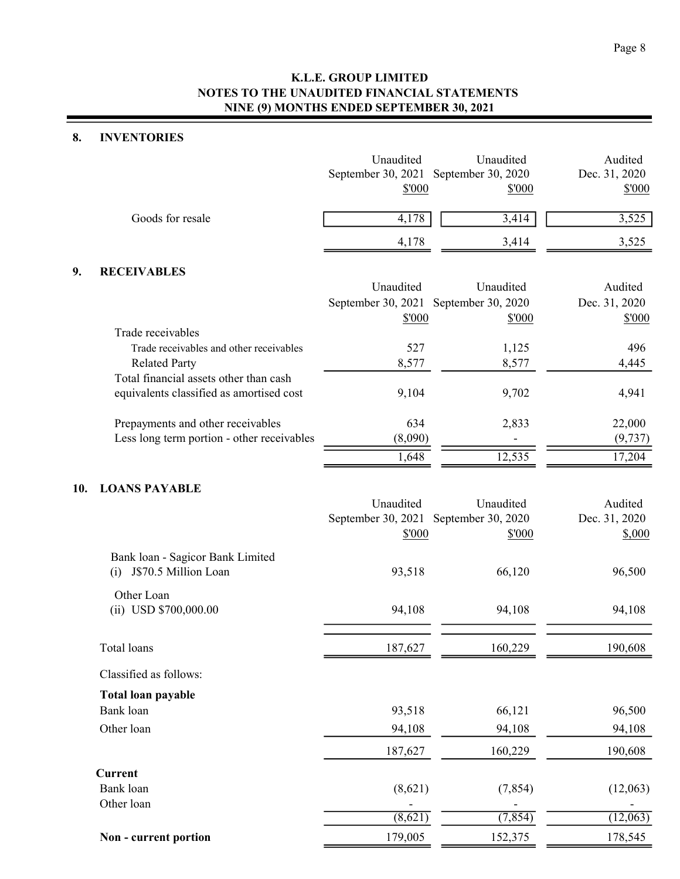### **8. INVENTORIES**

|                  | Unaudited<br>September 30, 2021 September 30, 2020<br>\$'000 | Unaudited<br>\$'000 | Audited<br>Dec. 31, 2020<br>\$'000 |
|------------------|--------------------------------------------------------------|---------------------|------------------------------------|
| Goods for resale | 4,178                                                        | 3,414               | 3,525                              |
|                  | 4,178                                                        | 3.414               | 3,525                              |
|                  |                                                              |                     |                                    |

## **9. RECEIVABLES**

|                                            | Unaudited                             | Unaudited | Audited       |
|--------------------------------------------|---------------------------------------|-----------|---------------|
|                                            | September 30, 2021 September 30, 2020 |           | Dec. 31, 2020 |
|                                            | \$'000                                | \$'000    | \$'000        |
| Trade receivables                          |                                       |           |               |
| Trade receivables and other receivables    | 527                                   | 1,125     | 496           |
| <b>Related Party</b>                       | 8,577                                 | 8,577     | 4,445         |
| Total financial assets other than cash     |                                       |           |               |
| equivalents classified as amortised cost   | 9,104                                 | 9,702     | 4,941         |
| Prepayments and other receivables          | 634                                   | 2,833     | 22,000        |
| Less long term portion - other receivables | (8,090)                               |           | (9, 737)      |
|                                            | 1,648                                 | 12,535    | 17,204        |

#### **10. LOANS PAYABLE**

|                                                                 | Unaudited                             | Unaudited | Audited       |
|-----------------------------------------------------------------|---------------------------------------|-----------|---------------|
|                                                                 | September 30, 2021 September 30, 2020 |           | Dec. 31, 2020 |
|                                                                 | \$'000                                | \$'000    | \$,000        |
| Bank loan - Sagicor Bank Limited<br>J\$70.5 Million Loan<br>(i) | 93,518                                | 66,120    | 96,500        |
| Other Loan                                                      |                                       |           |               |
| $(ii)$ USD \$700,000.00                                         | 94,108                                | 94,108    | 94,108        |
| Total loans                                                     | 187,627                               | 160,229   | 190,608       |
| Classified as follows:                                          |                                       |           |               |
| Total loan payable                                              |                                       |           |               |
| Bank loan                                                       | 93,518                                | 66,121    | 96,500        |
| Other loan                                                      | 94,108                                | 94,108    | 94,108        |
|                                                                 | 187,627                               | 160,229   | 190,608       |
| <b>Current</b>                                                  |                                       |           |               |
| Bank loan                                                       | (8,621)                               | (7, 854)  | (12,063)      |
| Other loan                                                      |                                       |           |               |
|                                                                 | (8,621)                               | (7, 854)  | (12,063)      |
| Non - current portion                                           | 179,005                               | 152,375   | 178,545       |